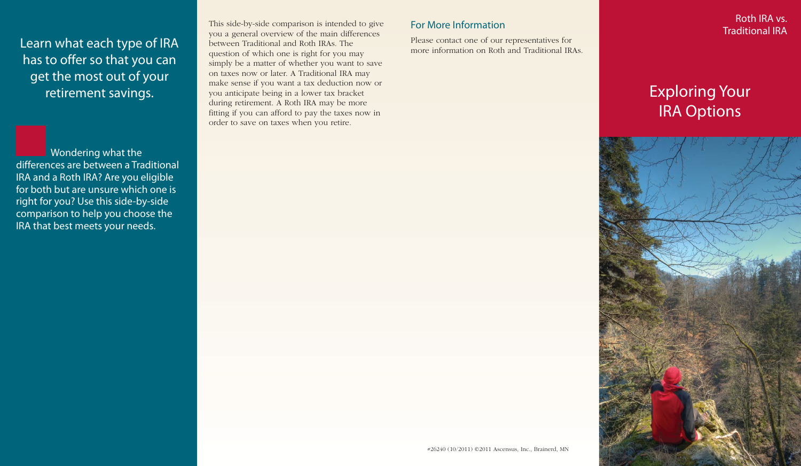Learn what each type of IRA has to offer so that you can get the most out of your retirement savings.

**Wondering what the** differences are between a Traditional IRA and a Roth IRA? Are you eligible for both but are unsure which one is right for you? Use this side-by-side comparison to help you choose the IRA that best meets your needs.

This side-by-side comparison is intended to give you a general overview of the main differences between Traditional and Roth IRAs. The question of which one is right for you may simply be a matter of whether you want to save on taxes now or later. A Traditional IRA may make sense if you want a tax deduction now or you anticipate being in a lower tax bracket during retirement. A Roth IRA may be more fitting if you can afford to pay the taxes now in order to save on taxes when you retire.

## For More Information

Please contact one of our representatives for more information on Roth and Traditional IRAs.

Roth IRA vs. Traditional IRA

## Exploring Your IRA Options